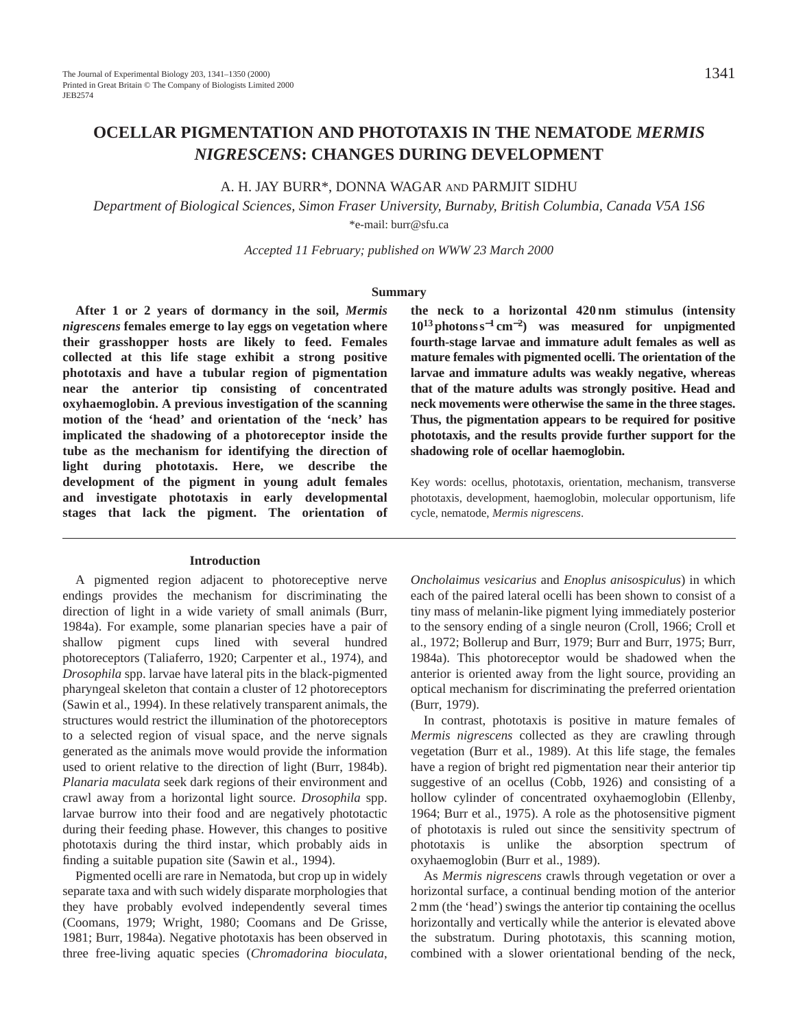A. H. JAY BURR\*, DONNA WAGAR AND PARMJIT SIDHU

*Department of Biological Sciences, Simon Fraser University, Burnaby, British Columbia, Canada V5A 1S6* \*e-mail: burr@sfu.ca

*Accepted 11 February; published on WWW 23 March 2000*

#### **Summary**

**After 1 or 2 years of dormancy in the soil,** *Mermis nigrescens* **females emerge to lay eggs on vegetation where their grasshopper hosts are likely to feed. Females collected at this life stage exhibit a strong positive phototaxis and have a tubular region of pigmentation near the anterior tip consisting of concentrated oxyhaemoglobin. A previous investigation of the scanning motion of the 'head' and orientation of the 'neck' has implicated the shadowing of a photoreceptor inside the tube as the mechanism for identifying the direction of light during phototaxis. Here, we describe the development of the pigment in young adult females and investigate phototaxis in early developmental stages that lack the pigment. The orientation of** 

## **Introduction**

A pigmented region adjacent to photoreceptive nerve endings provides the mechanism for discriminating the direction of light in a wide variety of small animals (Burr, 1984a). For example, some planarian species have a pair of shallow pigment cups lined with several hundred photoreceptors (Taliaferro, 1920; Carpenter et al., 1974), and *Drosophila* spp. larvae have lateral pits in the black-pigmented pharyngeal skeleton that contain a cluster of 12 photoreceptors (Sawin et al., 1994). In these relatively transparent animals, the structures would restrict the illumination of the photoreceptors to a selected region of visual space, and the nerve signals generated as the animals move would provide the information used to orient relative to the direction of light (Burr, 1984b). *Planaria maculata* seek dark regions of their environment and crawl away from a horizontal light source. *Drosophila* spp. larvae burrow into their food and are negatively phototactic during their feeding phase. However, this changes to positive phototaxis during the third instar, which probably aids in finding a suitable pupation site (Sawin et al., 1994).

Pigmented ocelli are rare in Nematoda, but crop up in widely separate taxa and with such widely disparate morphologies that they have probably evolved independently several times (Coomans, 1979; Wright, 1980; Coomans and De Grisse, 1981; Burr, 1984a). Negative phototaxis has been observed in three free-living aquatic species (*Chromadorina bioculata*, **the neck to a horizontal 420 nm stimulus (intensity 1013photons s**<sup>−</sup>**<sup>1</sup> cm**<sup>−</sup>**2) was measured for unpigmented fourth-stage larvae and immature adult females as well as mature females with pigmented ocelli. The orientation of the larvae and immature adults was weakly negative, whereas that of the mature adults was strongly positive. Head and neck movements were otherwise the same in the three stages. Thus, the pigmentation appears to be required for positive phototaxis, and the results provide further support for the shadowing role of ocellar haemoglobin.**

Key words: ocellus, phototaxis, orientation, mechanism, transverse phototaxis, development, haemoglobin, molecular opportunism, life cycle, nematode, *Mermis nigrescens*.

*Oncholaimus vesicarius* and *Enoplus anisospiculus*) in which each of the paired lateral ocelli has been shown to consist of a tiny mass of melanin-like pigment lying immediately posterior to the sensory ending of a single neuron (Croll, 1966; Croll et al., 1972; Bollerup and Burr, 1979; Burr and Burr, 1975; Burr, 1984a). This photoreceptor would be shadowed when the anterior is oriented away from the light source, providing an optical mechanism for discriminating the preferred orientation (Burr, 1979).

In contrast, phototaxis is positive in mature females of *Mermis nigrescens* collected as they are crawling through vegetation (Burr et al., 1989). At this life stage, the females have a region of bright red pigmentation near their anterior tip suggestive of an ocellus (Cobb, 1926) and consisting of a hollow cylinder of concentrated oxyhaemoglobin (Ellenby, 1964; Burr et al., 1975). A role as the photosensitive pigment of phototaxis is ruled out since the sensitivity spectrum of phototaxis is unlike the absorption spectrum of oxyhaemoglobin (Burr et al., 1989).

As *Mermis nigrescens* crawls through vegetation or over a horizontal surface, a continual bending motion of the anterior 2 mm (the 'head') swings the anterior tip containing the ocellus horizontally and vertically while the anterior is elevated above the substratum. During phototaxis, this scanning motion, combined with a slower orientational bending of the neck,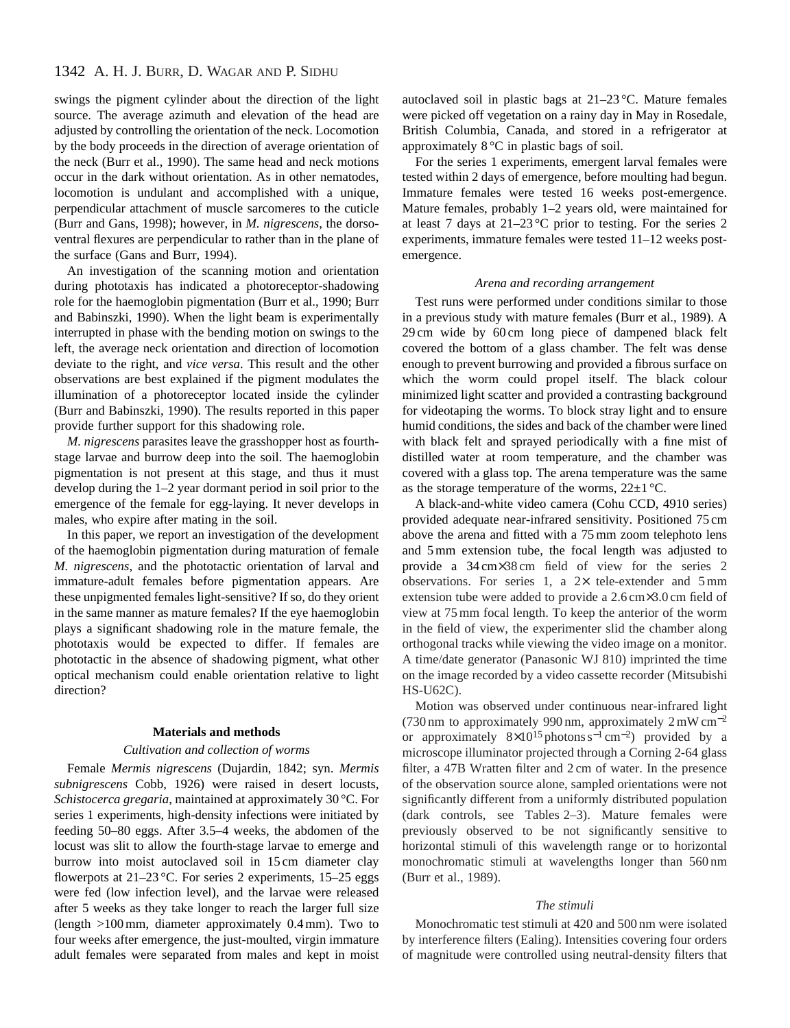# 1342 A. H. J. BURR, D. WAGAR AND P. SIDHU

swings the pigment cylinder about the direction of the light source. The average azimuth and elevation of the head are adjusted by controlling the orientation of the neck. Locomotion by the body proceeds in the direction of average orientation of the neck (Burr et al., 1990). The same head and neck motions occur in the dark without orientation. As in other nematodes, locomotion is undulant and accomplished with a unique, perpendicular attachment of muscle sarcomeres to the cuticle (Burr and Gans, 1998); however, in *M. nigrescens*, the dorsoventral flexures are perpendicular to rather than in the plane of the surface (Gans and Burr, 1994).

An investigation of the scanning motion and orientation during phototaxis has indicated a photoreceptor-shadowing role for the haemoglobin pigmentation (Burr et al., 1990; Burr and Babinszki, 1990). When the light beam is experimentally interrupted in phase with the bending motion on swings to the left, the average neck orientation and direction of locomotion deviate to the right, and *vice versa*. This result and the other observations are best explained if the pigment modulates the illumination of a photoreceptor located inside the cylinder (Burr and Babinszki, 1990). The results reported in this paper provide further support for this shadowing role.

*M. nigrescens* parasites leave the grasshopper host as fourthstage larvae and burrow deep into the soil. The haemoglobin pigmentation is not present at this stage, and thus it must develop during the 1–2 year dormant period in soil prior to the emergence of the female for egg-laying. It never develops in males, who expire after mating in the soil.

In this paper, we report an investigation of the development of the haemoglobin pigmentation during maturation of female *M. nigrescens*, and the phototactic orientation of larval and immature-adult females before pigmentation appears. Are these unpigmented females light-sensitive? If so, do they orient in the same manner as mature females? If the eye haemoglobin plays a significant shadowing role in the mature female, the phototaxis would be expected to differ. If females are phototactic in the absence of shadowing pigment, what other optical mechanism could enable orientation relative to light direction?

#### **Materials and methods**

#### *Cultivation and collection of worms*

Female *Mermis nigrescens* (Dujardin, 1842; syn. *Mermis subnigrescens* Cobb, 1926) were raised in desert locusts, *Schistocerca gregaria*, maintained at approximately 30 °C. For series 1 experiments, high-density infections were initiated by feeding 50–80 eggs. After 3.5–4 weeks, the abdomen of the locust was slit to allow the fourth-stage larvae to emerge and burrow into moist autoclaved soil in 15 cm diameter clay flowerpots at  $21-23$  °C. For series 2 experiments, 15–25 eggs were fed (low infection level), and the larvae were released after 5 weeks as they take longer to reach the larger full size (length >100 mm, diameter approximately 0.4 mm). Two to four weeks after emergence, the just-moulted, virgin immature adult females were separated from males and kept in moist autoclaved soil in plastic bags at 21–23 °C. Mature females were picked off vegetation on a rainy day in May in Rosedale, British Columbia, Canada, and stored in a refrigerator at approximately 8 °C in plastic bags of soil.

For the series 1 experiments, emergent larval females were tested within 2 days of emergence, before moulting had begun. Immature females were tested 16 weeks post-emergence. Mature females, probably 1–2 years old, were maintained for at least 7 days at 21–23 °C prior to testing. For the series 2 experiments, immature females were tested 11–12 weeks postemergence.

#### *Arena and recording arrangement*

Test runs were performed under conditions similar to those in a previous study with mature females (Burr et al., 1989). A 29 cm wide by 60 cm long piece of dampened black felt covered the bottom of a glass chamber. The felt was dense enough to prevent burrowing and provided a fibrous surface on which the worm could propel itself. The black colour minimized light scatter and provided a contrasting background for videotaping the worms. To block stray light and to ensure humid conditions, the sides and back of the chamber were lined with black felt and sprayed periodically with a fine mist of distilled water at room temperature, and the chamber was covered with a glass top. The arena temperature was the same as the storage temperature of the worms,  $22\pm1$  °C.

A black-and-white video camera (Cohu CCD, 4910 series) provided adequate near-infrared sensitivity. Positioned 75 cm above the arena and fitted with a 75 mm zoom telephoto lens and 5 mm extension tube, the focal length was adjusted to provide a 34 cm×38 cm field of view for the series 2 observations. For series 1, a  $2 \times$  tele-extender and 5 mm extension tube were added to provide a 2.6 cm×3.0 cm field of view at 75 mm focal length. To keep the anterior of the worm in the field of view, the experimenter slid the chamber along orthogonal tracks while viewing the video image on a monitor. A time/date generator (Panasonic WJ 810) imprinted the time on the image recorded by a video cassette recorder (Mitsubishi HS-U62C).

Motion was observed under continuous near-infrared light (730 nm to approximately 990 nm, approximately 2 mW cm−<sup>2</sup> or approximately  $8\times10^{15}$  photons s<sup>-1</sup> cm<sup>-2</sup>) provided by a microscope illuminator projected through a Corning 2-64 glass filter, a 47B Wratten filter and 2 cm of water. In the presence of the observation source alone, sampled orientations were not significantly different from a uniformly distributed population (dark controls, see Tables 2–3). Mature females were previously observed to be not significantly sensitive to horizontal stimuli of this wavelength range or to horizontal monochromatic stimuli at wavelengths longer than 560 nm (Burr et al., 1989).

#### *The stimuli*

Monochromatic test stimuli at 420 and 500 nm were isolated by interference filters (Ealing). Intensities covering four orders of magnitude were controlled using neutral-density filters that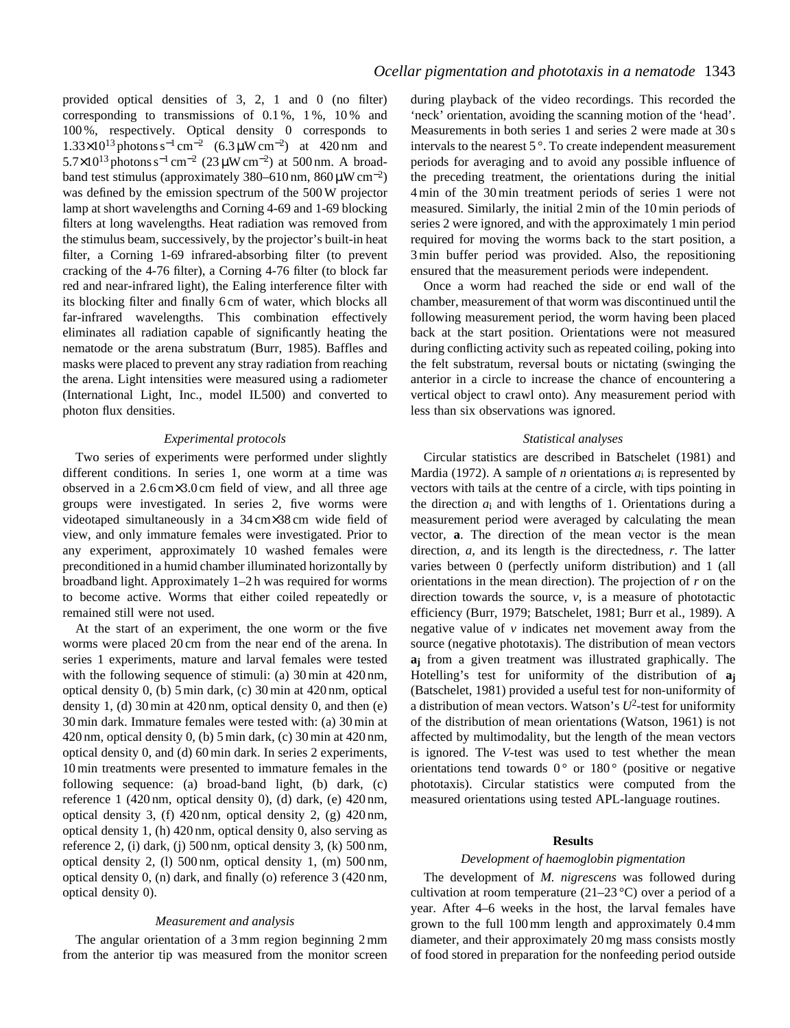provided optical densities of 3, 2, 1 and 0 (no filter) corresponding to transmissions of  $0.1\%$ ,  $1\%$ ,  $10\%$  and 100 %, respectively. Optical density 0 corresponds to  $1.33\times10^{13}$  photons s<sup>-1</sup> cm<sup>-2</sup> (6.3 µW cm<sup>-2</sup>) at 420 nm and 5.7×10<sup>13</sup> photons s<sup>-1</sup> cm<sup>-2</sup> (23 µW cm<sup>-2</sup>) at 500 nm. A broadband test stimulus (approximately 380–610 nm,  $860 \mu W \text{ cm}^{-2}$ ) was defined by the emission spectrum of the 500 W projector lamp at short wavelengths and Corning 4-69 and 1-69 blocking filters at long wavelengths. Heat radiation was removed from the stimulus beam, successively, by the projector's built-in heat filter, a Corning 1-69 infrared-absorbing filter (to prevent cracking of the 4-76 filter), a Corning 4-76 filter (to block far red and near-infrared light), the Ealing interference filter with its blocking filter and finally 6 cm of water, which blocks all far-infrared wavelengths. This combination effectively eliminates all radiation capable of significantly heating the nematode or the arena substratum (Burr, 1985). Baffles and masks were placed to prevent any stray radiation from reaching the arena. Light intensities were measured using a radiometer (International Light, Inc., model IL500) and converted to photon flux densities.

## *Experimental protocols*

Two series of experiments were performed under slightly different conditions. In series 1, one worm at a time was observed in a 2.6 cm×3.0 cm field of view, and all three age groups were investigated. In series 2, five worms were videotaped simultaneously in a 34 cm×38 cm wide field of view, and only immature females were investigated. Prior to any experiment, approximately 10 washed females were preconditioned in a humid chamber illuminated horizontally by broadband light. Approximately 1–2 h was required for worms to become active. Worms that either coiled repeatedly or remained still were not used.

At the start of an experiment, the one worm or the five worms were placed 20 cm from the near end of the arena. In series 1 experiments, mature and larval females were tested with the following sequence of stimuli: (a) 30 min at 420 nm, optical density 0, (b) 5 min dark, (c) 30 min at 420 nm, optical density 1, (d) 30 min at 420 nm, optical density 0, and then (e) 30 min dark. Immature females were tested with: (a) 30 min at 420 nm, optical density 0, (b) 5 min dark, (c) 30 min at 420 nm, optical density 0, and (d) 60 min dark. In series 2 experiments, 10 min treatments were presented to immature females in the following sequence: (a) broad-band light, (b) dark, (c) reference 1 (420 nm, optical density 0), (d) dark, (e) 420 nm, optical density 3, (f) 420 nm, optical density 2, (g) 420 nm, optical density 1, (h) 420 nm, optical density 0, also serving as reference 2, (i) dark, (j) 500 nm, optical density 3, (k) 500 nm, optical density 2, (l) 500 nm, optical density 1, (m) 500 nm, optical density 0, (n) dark, and finally (o) reference 3 (420 nm, optical density 0).

### *Measurement and analysis*

The angular orientation of a 3 mm region beginning 2 mm from the anterior tip was measured from the monitor screen during playback of the video recordings. This recorded the 'neck' orientation, avoiding the scanning motion of the 'head'. Measurements in both series 1 and series 2 were made at 30 s intervals to the nearest 5 °. To create independent measurement periods for averaging and to avoid any possible influence of the preceding treatment, the orientations during the initial 4 min of the 30 min treatment periods of series 1 were not measured. Similarly, the initial 2 min of the 10 min periods of series 2 were ignored, and with the approximately 1 min period required for moving the worms back to the start position, a 3 min buffer period was provided. Also, the repositioning ensured that the measurement periods were independent.

Once a worm had reached the side or end wall of the chamber, measurement of that worm was discontinued until the following measurement period, the worm having been placed back at the start position. Orientations were not measured during conflicting activity such as repeated coiling, poking into the felt substratum, reversal bouts or nictating (swinging the anterior in a circle to increase the chance of encountering a vertical object to crawl onto). Any measurement period with less than six observations was ignored.

### *Statistical analyses*

Circular statistics are described in Batschelet (1981) and Mardia (1972). A sample of *n* orientations *a*i is represented by vectors with tails at the centre of a circle, with tips pointing in the direction  $a_i$  and with lengths of 1. Orientations during a measurement period were averaged by calculating the mean vector, **a**. The direction of the mean vector is the mean direction, *a*, and its length is the directedness, *r*. The latter varies between 0 (perfectly uniform distribution) and 1 (all orientations in the mean direction). The projection of *r* on the direction towards the source, *v*, is a measure of phototactic efficiency (Burr, 1979; Batschelet, 1981; Burr et al., 1989). A negative value of *v* indicates net movement away from the source (negative phototaxis). The distribution of mean vectors **aj** from a given treatment was illustrated graphically. The Hotelling's test for uniformity of the distribution of **aj** (Batschelet, 1981) provided a useful test for non-uniformity of a distribution of mean vectors. Watson's  $U^2$ -test for uniformity of the distribution of mean orientations (Watson, 1961) is not affected by multimodality, but the length of the mean vectors is ignored. The *V*-test was used to test whether the mean orientations tend towards  $0^{\circ}$  or  $180^{\circ}$  (positive or negative phototaxis). Circular statistics were computed from the measured orientations using tested APL-language routines.

### **Results**

## *Development of haemoglobin pigmentation*

The development of *M. nigrescens* was followed during cultivation at room temperature  $(21-23 \degree C)$  over a period of a year. After 4–6 weeks in the host, the larval females have grown to the full 100 mm length and approximately 0.4 mm diameter, and their approximately 20 mg mass consists mostly of food stored in preparation for the nonfeeding period outside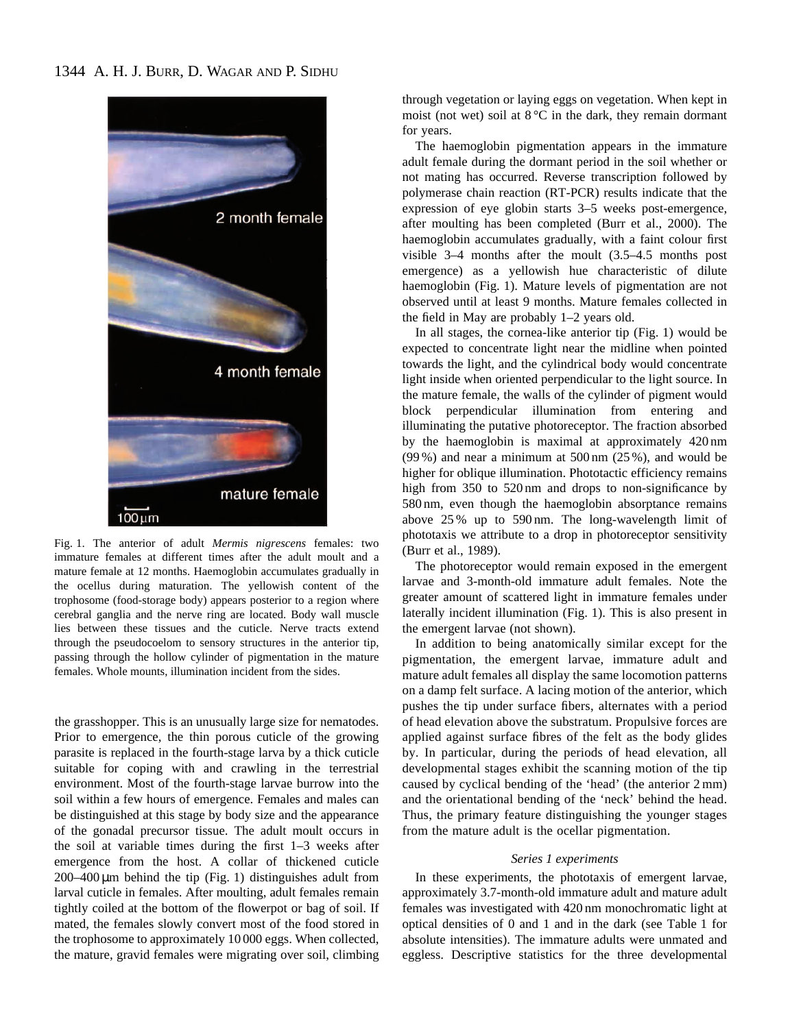

Fig. 1. The anterior of adult *Mermis nigrescens* females: two immature females at different times after the adult moult and a mature female at 12 months. Haemoglobin accumulates gradually in the ocellus during maturation. The yellowish content of the trophosome (food-storage body) appears posterior to a region where cerebral ganglia and the nerve ring are located. Body wall muscle lies between these tissues and the cuticle. Nerve tracts extend through the pseudocoelom to sensory structures in the anterior tip, passing through the hollow cylinder of pigmentation in the mature females. Whole mounts, illumination incident from the sides.

the grasshopper. This is an unusually large size for nematodes. Prior to emergence, the thin porous cuticle of the growing parasite is replaced in the fourth-stage larva by a thick cuticle suitable for coping with and crawling in the terrestrial environment. Most of the fourth-stage larvae burrow into the soil within a few hours of emergence. Females and males can be distinguished at this stage by body size and the appearance of the gonadal precursor tissue. The adult moult occurs in the soil at variable times during the first 1–3 weeks after emergence from the host. A collar of thickened cuticle  $200-400 \,\mu m$  behind the tip (Fig. 1) distinguishes adult from larval cuticle in females. After moulting, adult females remain tightly coiled at the bottom of the flowerpot or bag of soil. If mated, the females slowly convert most of the food stored in the trophosome to approximately 10 000 eggs. When collected, the mature, gravid females were migrating over soil, climbing

through vegetation or laying eggs on vegetation. When kept in moist (not wet) soil at 8 °C in the dark, they remain dormant for years.

The haemoglobin pigmentation appears in the immature adult female during the dormant period in the soil whether or not mating has occurred. Reverse transcription followed by polymerase chain reaction (RT-PCR) results indicate that the expression of eye globin starts 3–5 weeks post-emergence, after moulting has been completed (Burr et al., 2000). The haemoglobin accumulates gradually, with a faint colour first visible 3–4 months after the moult (3.5–4.5 months post emergence) as a yellowish hue characteristic of dilute haemoglobin (Fig. 1). Mature levels of pigmentation are not observed until at least 9 months. Mature females collected in the field in May are probably 1–2 years old.

In all stages, the cornea-like anterior tip (Fig. 1) would be expected to concentrate light near the midline when pointed towards the light, and the cylindrical body would concentrate light inside when oriented perpendicular to the light source. In the mature female, the walls of the cylinder of pigment would block perpendicular illumination from entering and illuminating the putative photoreceptor. The fraction absorbed by the haemoglobin is maximal at approximately 420 nm (99 %) and near a minimum at 500 nm (25 %), and would be higher for oblique illumination. Phototactic efficiency remains high from 350 to 520 nm and drops to non-significance by 580 nm, even though the haemoglobin absorptance remains above 25 % up to 590 nm. The long-wavelength limit of phototaxis we attribute to a drop in photoreceptor sensitivity (Burr et al., 1989).

The photoreceptor would remain exposed in the emergent larvae and 3-month-old immature adult females. Note the greater amount of scattered light in immature females under laterally incident illumination (Fig. 1). This is also present in the emergent larvae (not shown).

In addition to being anatomically similar except for the pigmentation, the emergent larvae, immature adult and mature adult females all display the same locomotion patterns on a damp felt surface. A lacing motion of the anterior, which pushes the tip under surface fibers, alternates with a period of head elevation above the substratum. Propulsive forces are applied against surface fibres of the felt as the body glides by. In particular, during the periods of head elevation, all developmental stages exhibit the scanning motion of the tip caused by cyclical bending of the 'head' (the anterior 2 mm) and the orientational bending of the 'neck' behind the head. Thus, the primary feature distinguishing the younger stages from the mature adult is the ocellar pigmentation.

## *Series 1 experiments*

In these experiments, the phototaxis of emergent larvae, approximately 3.7-month-old immature adult and mature adult females was investigated with 420 nm monochromatic light at optical densities of 0 and 1 and in the dark (see Table 1 for absolute intensities). The immature adults were unmated and eggless. Descriptive statistics for the three developmental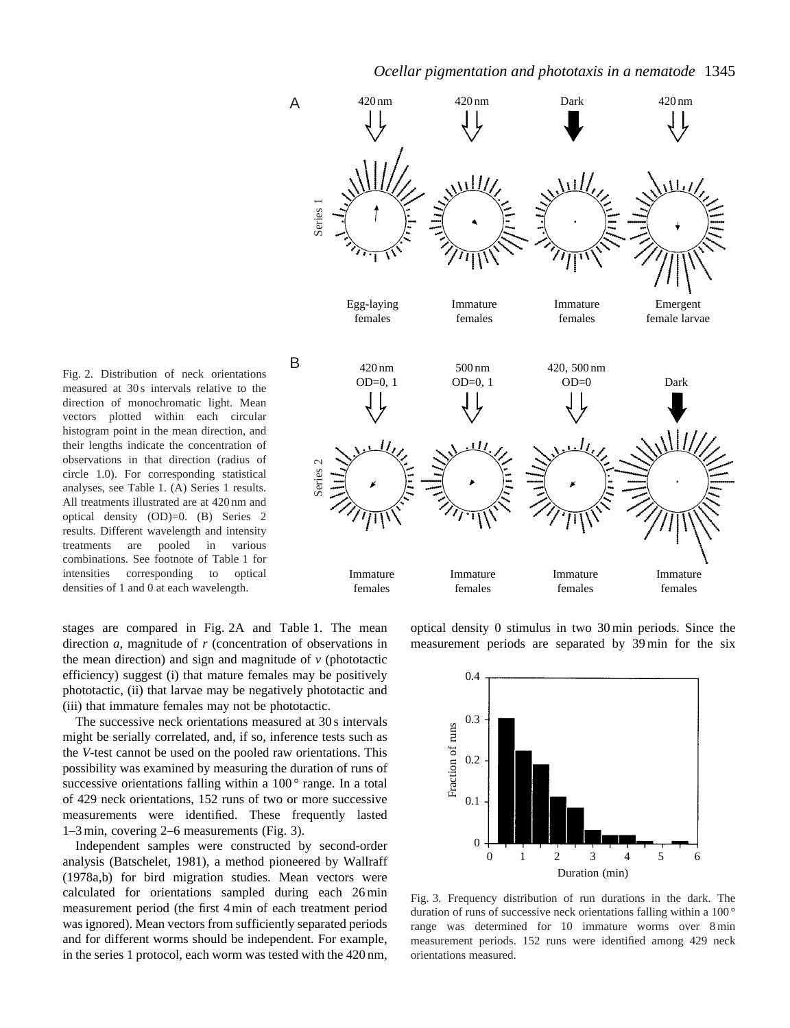

Fig. 2. Distribution of neck orientations measured at 30s intervals relative to the direction of monochromatic light. Mean vectors plotted within each circular histogram point in the mean direction, and their lengths indicate the concentration of observations in that direction (radius of circle 1.0). For corresponding statistical analyses, see Table 1. (A) Series 1 results. All treatments illustrated are at 420 nm and optical density (OD)=0. (B) Series 2 results. Different wavelength and intensity treatments are pooled in various combinations. See footnote of Table 1 for intensities corresponding to optical densities of 1 and 0 at each wavelength.

stages are compared in Fig. 2A and Table 1. The mean direction *a*, magnitude of *r* (concentration of observations in the mean direction) and sign and magnitude of  $\nu$  (phototactic efficiency) suggest (i) that mature females may be positively phototactic, (ii) that larvae may be negatively phototactic and (iii) that immature females may not be phototactic.

The successive neck orientations measured at 30 s intervals might be serially correlated, and, if so, inference tests such as the *V*-test cannot be used on the pooled raw orientations. This possibility was examined by measuring the duration of runs of successive orientations falling within a  $100^\circ$  range. In a total of 429 neck orientations, 152 runs of two or more successive measurements were identified. These frequently lasted 1–3 min, covering 2–6 measurements (Fig. 3).

Independent samples were constructed by second-order analysis (Batschelet, 1981), a method pioneered by Wallraff (1978a,b) for bird migration studies. Mean vectors were calculated for orientations sampled during each 26 min measurement period (the first 4 min of each treatment period was ignored). Mean vectors from sufficiently separated periods and for different worms should be independent. For example, in the series 1 protocol, each worm was tested with the 420 nm,

optical density 0 stimulus in two 30 min periods. Since the measurement periods are separated by 39 min for the six



Fig. 3. Frequency distribution of run durations in the dark. The duration of runs of successive neck orientations falling within a 100 ° range was determined for 10 immature worms over 8 min measurement periods. 152 runs were identified among 429 neck orientations measured.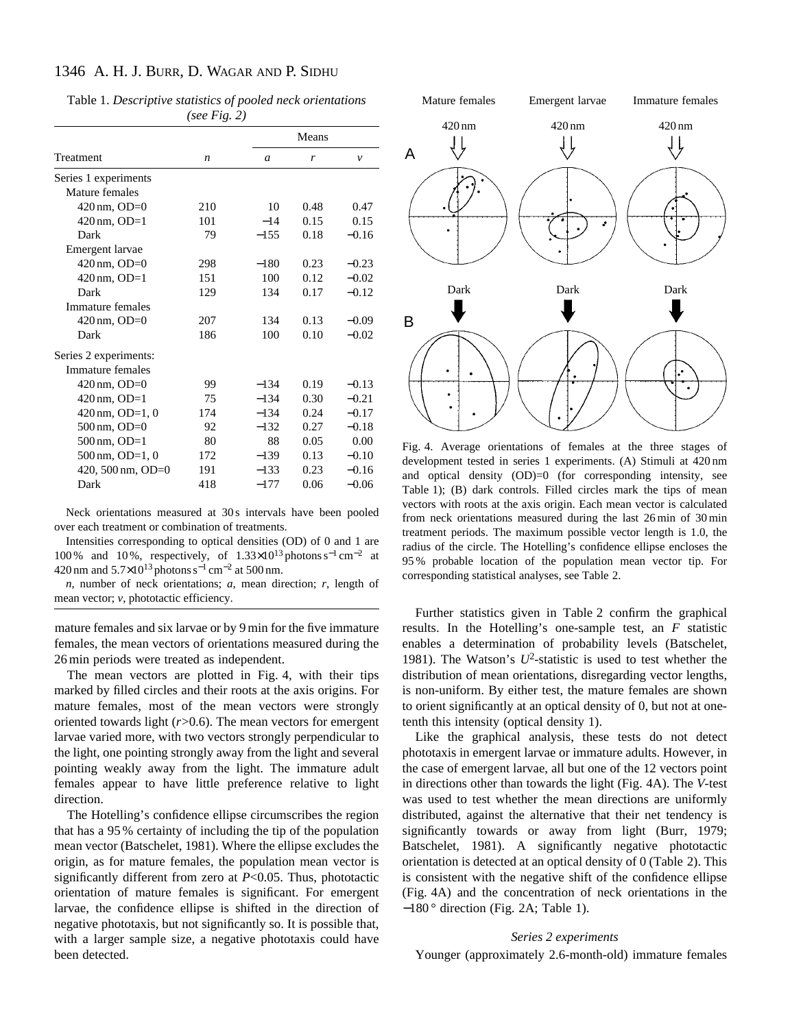# 1346 A. H. J. BURR, D. WAGAR AND P. SIDHU

|                            | $1000 + 100.47$  |        |       |              |
|----------------------------|------------------|--------|-------|--------------|
|                            |                  |        | Means |              |
| Treatment                  | $\boldsymbol{n}$ | a      | r     | $\mathcal V$ |
| Series 1 experiments       |                  |        |       |              |
| Mature females             |                  |        |       |              |
| 420 nm, OD=0               | 210              | 10     | 0.48  | 0.47         |
| $420 \text{ nm}$ , OD=1    | 101              | $-14$  | 0.15  | 0.15         |
| Dark                       | 79               | $-155$ | 0.18  | $-0.16$      |
| Emergent larvae            |                  |        |       |              |
| $420 \text{ nm}$ , OD=0    | 298              | $-180$ | 0.23  | $-0.23$      |
| $420 \text{ nm}$ , OD=1    | 151              | 100    | 0.12  | $-0.02$      |
| Dark                       | 129              | 134    | 0.17  | $-0.12$      |
| Immature females           |                  |        |       |              |
| $420 \text{ nm}$ , OD=0    | 207              | 134    | 0.13  | $-0.09$      |
| Dark                       | 186              | 100    | 0.10  | $-0.02$      |
| Series 2 experiments:      |                  |        |       |              |
| Immature females           |                  |        |       |              |
| $420 \text{ nm}$ , OD=0    | 99               | $-134$ | 0.19  | $-0.13$      |
| $420 \text{ nm}$ , OD=1    | 75               | $-134$ | 0.30  | $-0.21$      |
| $420 \text{ nm}$ , OD=1, 0 | 174              | $-134$ | 0.24  | $-0.17$      |
| $500 \text{ nm}$ , OD=0    | 92               | $-132$ | 0.27  | $-0.18$      |
| $500 \text{ nm}$ , OD=1    | 80               | 88     | 0.05  | 0.00         |
| $500 \text{ nm}$ , OD=1, 0 | 172              | $-139$ | 0.13  | $-0.10$      |
| 420, 500 nm, OD=0          | 191              | $-133$ | 0.23  | $-0.16$      |
| Dark                       | 418              | $-177$ | 0.06  | $-0.06$      |

Table 1. *Descriptive statistics of pooled neck orientations (see Fig. 2)*

Neck orientations measured at 30s intervals have been pooled over each treatment or combination of treatments.

Intensities corresponding to optical densities (OD) of 0 and 1 are 100 % and 10 %, respectively, of 1.33×10<sup>13</sup> photons s−<sup>1</sup> cm−<sup>2</sup> at 420 nm and 5.7×10<sup>13</sup> photons s−<sup>1</sup> cm−<sup>2</sup> at 500 nm.

*n*, number of neck orientations; *a*, mean direction; *r*, length of mean vector; *v*, phototactic efficiency.

mature females and six larvae or by 9 min for the five immature females, the mean vectors of orientations measured during the 26 min periods were treated as independent.

The mean vectors are plotted in Fig. 4, with their tips marked by filled circles and their roots at the axis origins. For mature females, most of the mean vectors were strongly oriented towards light (*r*>0.6). The mean vectors for emergent larvae varied more, with two vectors strongly perpendicular to the light, one pointing strongly away from the light and several pointing weakly away from the light. The immature adult females appear to have little preference relative to light direction.

The Hotelling's confidence ellipse circumscribes the region that has a 95 % certainty of including the tip of the population mean vector (Batschelet, 1981). Where the ellipse excludes the origin, as for mature females, the population mean vector is significantly different from zero at *P*<0.05. Thus, phototactic orientation of mature females is significant. For emergent larvae, the confidence ellipse is shifted in the direction of negative phototaxis, but not significantly so. It is possible that, with a larger sample size, a negative phototaxis could have been detected.



Fig. 4. Average orientations of females at the three stages of development tested in series 1 experiments. (A) Stimuli at 420 nm and optical density (OD)=0 (for corresponding intensity, see Table 1); (B) dark controls. Filled circles mark the tips of mean vectors with roots at the axis origin. Each mean vector is calculated from neck orientations measured during the last 26 min of 30 min treatment periods. The maximum possible vector length is 1.0, the radius of the circle. The Hotelling's confidence ellipse encloses the 95 % probable location of the population mean vector tip. For corresponding statistical analyses, see Table 2.

Further statistics given in Table 2 confirm the graphical results. In the Hotelling's one-sample test, an *F* statistic enables a determination of probability levels (Batschelet, 1981). The Watson's *U*2-statistic is used to test whether the distribution of mean orientations, disregarding vector lengths, is non-uniform. By either test, the mature females are shown to orient significantly at an optical density of 0, but not at onetenth this intensity (optical density 1).

Like the graphical analysis, these tests do not detect phototaxis in emergent larvae or immature adults. However, in the case of emergent larvae, all but one of the 12 vectors point in directions other than towards the light (Fig. 4A). The *V*-test was used to test whether the mean directions are uniformly distributed, against the alternative that their net tendency is significantly towards or away from light (Burr, 1979; Batschelet, 1981). A significantly negative phototactic orientation is detected at an optical density of 0 (Table 2). This is consistent with the negative shift of the confidence ellipse (Fig. 4A) and the concentration of neck orientations in the  $-180$ <sup>°</sup> direction (Fig. 2A; Table 1).

#### *Series 2 experiments*

Younger (approximately 2.6-month-old) immature females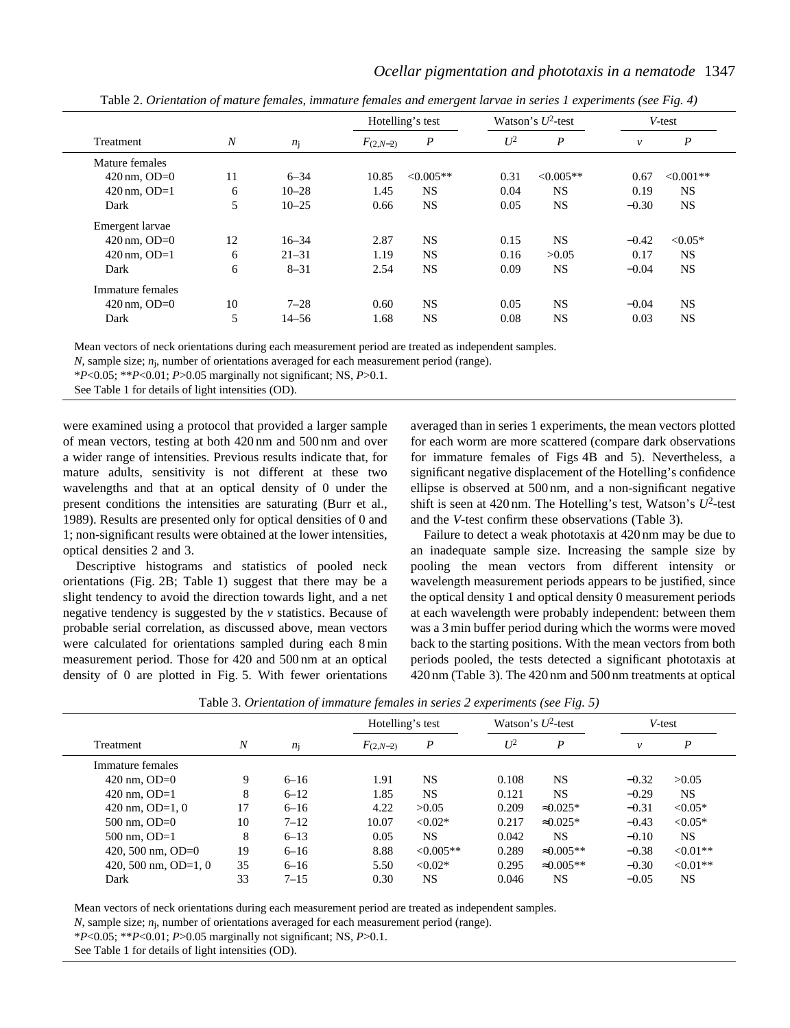| Treatment               | $\boldsymbol{N}$ |           |               | Hotelling's test |       | Watson's $U^2$ -test |         | V-test           |  |
|-------------------------|------------------|-----------|---------------|------------------|-------|----------------------|---------|------------------|--|
|                         |                  | $n_i$     | $F_{(2,N-2)}$ | $\boldsymbol{P}$ | $U^2$ | $\boldsymbol{P}$     | v       | $\boldsymbol{P}$ |  |
| Mature females          |                  |           |               |                  |       |                      |         |                  |  |
| $420 \text{ nm}$ , OD=0 | 11               | $6 - 34$  | 10.85         | $<0.005**$       | 0.31  | $<0.005**$           | 0.67    | $<0.001**$       |  |
| $420 \text{ nm}$ , OD=1 | 6                | $10 - 28$ | 1.45          | NS.              | 0.04  | <b>NS</b>            | 0.19    | NS.              |  |
| Dark                    | 5                | $10 - 25$ | 0.66          | <b>NS</b>        | 0.05  | <b>NS</b>            | $-0.30$ | <b>NS</b>        |  |
| Emergent larvae         |                  |           |               |                  |       |                      |         |                  |  |
| $420 \text{ nm}$ , OD=0 | 12               | $16 - 34$ | 2.87          | <b>NS</b>        | 0.15  | <b>NS</b>            | $-0.42$ | $< 0.05*$        |  |
| $420 \text{ nm}$ , OD=1 | 6                | $21 - 31$ | 1.19          | NS.              | 0.16  | >0.05                | 0.17    | NS.              |  |
| Dark                    | 6                | $8 - 31$  | 2.54          | <b>NS</b>        | 0.09  | <b>NS</b>            | $-0.04$ | <b>NS</b>        |  |
| Immature females        |                  |           |               |                  |       |                      |         |                  |  |
| $420 \text{ nm}$ , OD=0 | 10               | $7 - 28$  | 0.60          | NS.              | 0.05  | <b>NS</b>            | $-0.04$ | NS.              |  |
| Dark                    | 5                | $14 - 56$ | 1.68          | NS.              | 0.08  | <b>NS</b>            | 0.03    | NS.              |  |
|                         |                  |           |               |                  |       |                      |         |                  |  |

Table 2. *Orientation of mature females, immature females and emergent larvae in series 1 experiments (see Fig. 4)*

*Ocellar pigmentation and phototaxis in a nematode* 1347

Mean vectors of neck orientations during each measurement period are treated as independent samples.

*N*, sample size; *n*j, number of orientations averaged for each measurement period (range).

\**P*<0.05; \*\**P*<0.01; *P*>0.05 marginally not significant; NS, *P*>0.1.

See Table 1 for details of light intensities (OD).

were examined using a protocol that provided a larger sample of mean vectors, testing at both 420 nm and 500 nm and over a wider range of intensities. Previous results indicate that, for mature adults, sensitivity is not different at these two wavelengths and that at an optical density of 0 under the present conditions the intensities are saturating (Burr et al., 1989). Results are presented only for optical densities of 0 and 1; non-significant results were obtained at the lower intensities, optical densities 2 and 3.

Descriptive histograms and statistics of pooled neck orientations (Fig. 2B; Table 1) suggest that there may be a slight tendency to avoid the direction towards light, and a net negative tendency is suggested by the *v* statistics. Because of probable serial correlation, as discussed above, mean vectors were calculated for orientations sampled during each 8 min measurement period. Those for 420 and 500 nm at an optical density of 0 are plotted in Fig. 5. With fewer orientations

averaged than in series 1 experiments, the mean vectors plotted for each worm are more scattered (compare dark observations for immature females of Figs 4B and 5). Nevertheless, a significant negative displacement of the Hotelling's confidence ellipse is observed at 500 nm, and a non-significant negative shift is seen at  $420 \text{ nm}$ . The Hotelling's test, Watson's  $U^2$ -test and the *V*-test confirm these observations (Table 3).

Failure to detect a weak phototaxis at 420 nm may be due to an inadequate sample size. Increasing the sample size by pooling the mean vectors from different intensity or wavelength measurement periods appears to be justified, since the optical density 1 and optical density 0 measurement periods at each wavelength were probably independent: between them was a 3 min buffer period during which the worms were moved back to the starting positions. With the mean vectors from both periods pooled, the tests detected a significant phototaxis at 420 nm (Table 3). The 420 nm and 500 nm treatments at optical

| Treatment               | $\boldsymbol{N}$ | n <sub>j</sub> | Hotelling's test |                | Watson's $U^2$ -test |                   |         | V-test     |  |
|-------------------------|------------------|----------------|------------------|----------------|----------------------|-------------------|---------|------------|--|
|                         |                  |                | $F_{(2,N-2)}$    | P              | $U^2$                | P                 | v       | P          |  |
| Immature females        |                  |                |                  |                |                      |                   |         |            |  |
| 420 nm, $OD=0$          | 9                | $6 - 16$       | 1.91             | <b>NS</b>      | 0.108                | <b>NS</b>         | $-0.32$ | >0.05      |  |
| 420 nm, $OD=1$          | 8                | $6 - 12$       | 1.85             | <b>NS</b>      | 0.121                | <b>NS</b>         | $-0.29$ | NS.        |  |
| 420 nm, $OD=1, 0$       | 17               | $6 - 16$       | 4.22             | >0.05          | 0.209                | $\approx 0.025*$  | $-0.31$ | $< 0.05*$  |  |
| $500 \text{ nm}$ , OD=0 | 10               | $7 - 12$       | 10.07            | $< 0.02*$      | 0.217                | $\approx 0.025*$  | $-0.43$ | $< 0.05*$  |  |
| 500 nm, $OD=1$          | 8                | $6 - 13$       | 0.05             | <b>NS</b>      | 0.042                | NS.               | $-0.10$ | NS.        |  |
| 420, 500 nm, OD=0       | 19               | $6 - 16$       | 8.88             | $\leq 0.005**$ | 0.289                | $\approx 0.005**$ | $-0.38$ | $< 0.01**$ |  |
| 420, 500 nm, OD=1, 0    | 35               | $6 - 16$       | 5.50             | $< 0.02*$      | 0.295                | $\approx 0.005**$ | $-0.30$ | $< 0.01**$ |  |
| Dark                    | 33               | $7 - 15$       | 0.30             | <b>NS</b>      | 0.046                | NS                | $-0.05$ | NS.        |  |
|                         |                  |                |                  |                |                      |                   |         |            |  |

Table 3. *Orientation of immature females in series 2 experiments (see Fig. 5)*

Mean vectors of neck orientations during each measurement period are treated as independent samples.

*N*, sample size; *n*j, number of orientations averaged for each measurement period (range).

\**P*<0.05; \*\**P*<0.01; *P*>0.05 marginally not significant; NS, *P*>0.1.

See Table 1 for details of light intensities (OD).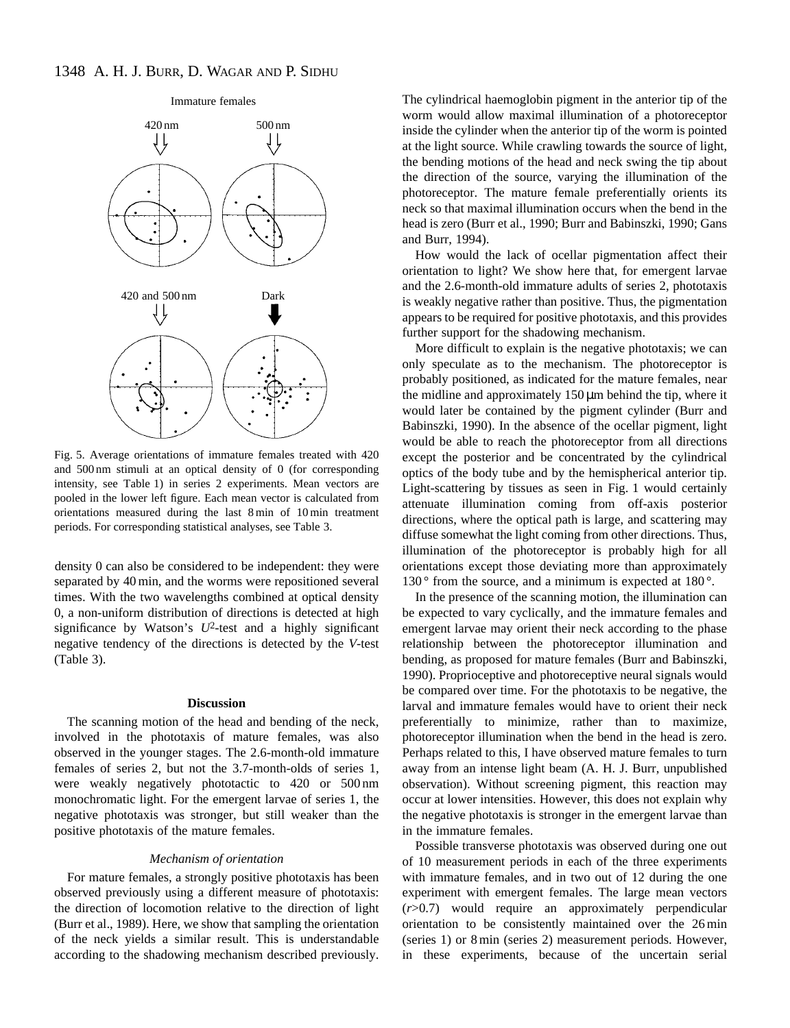

Fig. 5. Average orientations of immature females treated with 420 and 500 nm stimuli at an optical density of 0 (for corresponding intensity, see Table 1) in series 2 experiments. Mean vectors are pooled in the lower left figure. Each mean vector is calculated from orientations measured during the last 8 min of 10 min treatment periods. For corresponding statistical analyses, see Table 3.

density 0 can also be considered to be independent: they were separated by 40 min, and the worms were repositioned several times. With the two wavelengths combined at optical density 0, a non-uniform distribution of directions is detected at high significance by Watson's  $U^2$ -test and a highly significant negative tendency of the directions is detected by the *V*-test (Table 3).

#### **Discussion**

The scanning motion of the head and bending of the neck, involved in the phototaxis of mature females, was also observed in the younger stages. The 2.6-month-old immature females of series 2, but not the 3.7-month-olds of series 1, were weakly negatively phototactic to 420 or 500 nm monochromatic light. For the emergent larvae of series 1, the negative phototaxis was stronger, but still weaker than the positive phototaxis of the mature females.

#### *Mechanism of orientation*

For mature females, a strongly positive phototaxis has been observed previously using a different measure of phototaxis: the direction of locomotion relative to the direction of light (Burr et al., 1989). Here, we show that sampling the orientation of the neck yields a similar result. This is understandable according to the shadowing mechanism described previously.

The cylindrical haemoglobin pigment in the anterior tip of the worm would allow maximal illumination of a photoreceptor inside the cylinder when the anterior tip of the worm is pointed at the light source. While crawling towards the source of light, the bending motions of the head and neck swing the tip about the direction of the source, varying the illumination of the photoreceptor. The mature female preferentially orients its neck so that maximal illumination occurs when the bend in the head is zero (Burr et al., 1990; Burr and Babinszki, 1990; Gans and Burr, 1994).

How would the lack of ocellar pigmentation affect their orientation to light? We show here that, for emergent larvae and the 2.6-month-old immature adults of series 2, phototaxis is weakly negative rather than positive. Thus, the pigmentation appears to be required for positive phototaxis, and this provides further support for the shadowing mechanism.

More difficult to explain is the negative phototaxis; we can only speculate as to the mechanism. The photoreceptor is probably positioned, as indicated for the mature females, near the midline and approximately  $150 \mu m$  behind the tip, where it would later be contained by the pigment cylinder (Burr and Babinszki, 1990). In the absence of the ocellar pigment, light would be able to reach the photoreceptor from all directions except the posterior and be concentrated by the cylindrical optics of the body tube and by the hemispherical anterior tip. Light-scattering by tissues as seen in Fig. 1 would certainly attenuate illumination coming from off-axis posterior directions, where the optical path is large, and scattering may diffuse somewhat the light coming from other directions. Thus, illumination of the photoreceptor is probably high for all orientations except those deviating more than approximately 130 $\degree$  from the source, and a minimum is expected at 180 $\degree$ .

In the presence of the scanning motion, the illumination can be expected to vary cyclically, and the immature females and emergent larvae may orient their neck according to the phase relationship between the photoreceptor illumination and bending, as proposed for mature females (Burr and Babinszki, 1990). Proprioceptive and photoreceptive neural signals would be compared over time. For the phototaxis to be negative, the larval and immature females would have to orient their neck preferentially to minimize, rather than to maximize, photoreceptor illumination when the bend in the head is zero. Perhaps related to this, I have observed mature females to turn away from an intense light beam (A. H. J. Burr, unpublished observation). Without screening pigment, this reaction may occur at lower intensities. However, this does not explain why the negative phototaxis is stronger in the emergent larvae than in the immature females.

Possible transverse phototaxis was observed during one out of 10 measurement periods in each of the three experiments with immature females, and in two out of 12 during the one experiment with emergent females. The large mean vectors (*r*>0.7) would require an approximately perpendicular orientation to be consistently maintained over the 26 min (series 1) or 8 min (series 2) measurement periods. However, in these experiments, because of the uncertain serial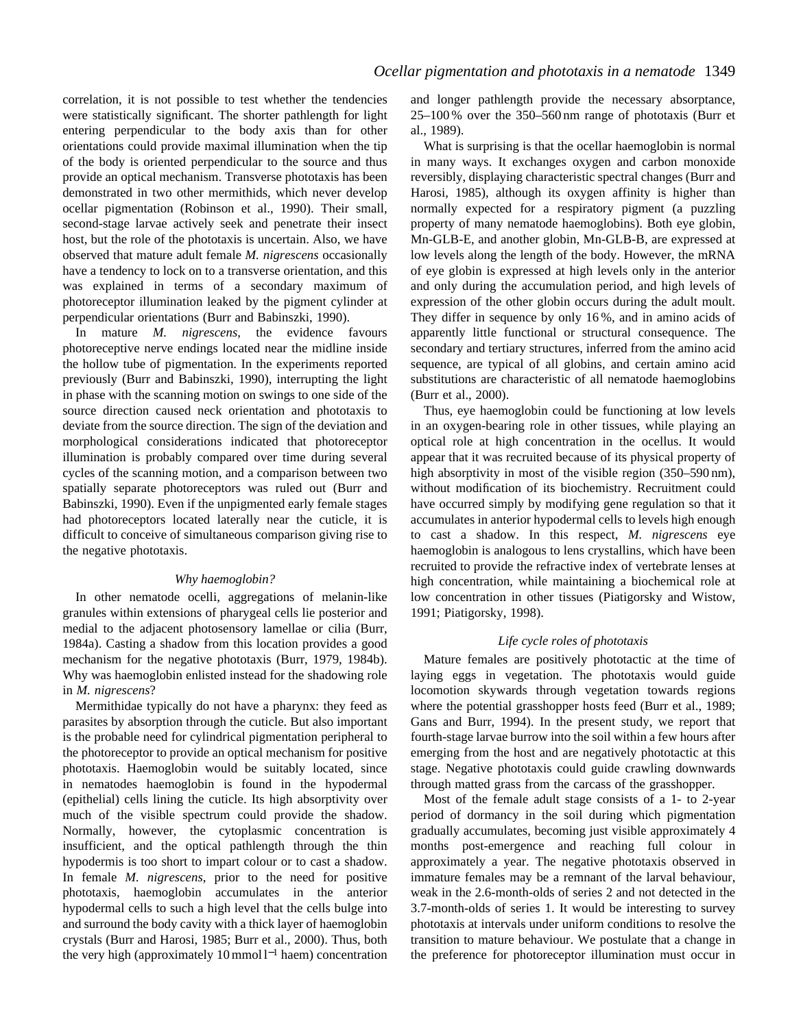correlation, it is not possible to test whether the tendencies were statistically significant. The shorter pathlength for light entering perpendicular to the body axis than for other orientations could provide maximal illumination when the tip of the body is oriented perpendicular to the source and thus provide an optical mechanism. Transverse phototaxis has been demonstrated in two other mermithids, which never develop ocellar pigmentation (Robinson et al., 1990). Their small, second-stage larvae actively seek and penetrate their insect host, but the role of the phototaxis is uncertain. Also, we have observed that mature adult female *M. nigrescens* occasionally have a tendency to lock on to a transverse orientation, and this was explained in terms of a secondary maximum of photoreceptor illumination leaked by the pigment cylinder at perpendicular orientations (Burr and Babinszki, 1990).

In mature *M. nigrescens*, the evidence favours photoreceptive nerve endings located near the midline inside the hollow tube of pigmentation. In the experiments reported previously (Burr and Babinszki, 1990), interrupting the light in phase with the scanning motion on swings to one side of the source direction caused neck orientation and phototaxis to deviate from the source direction. The sign of the deviation and morphological considerations indicated that photoreceptor illumination is probably compared over time during several cycles of the scanning motion, and a comparison between two spatially separate photoreceptors was ruled out (Burr and Babinszki, 1990). Even if the unpigmented early female stages had photoreceptors located laterally near the cuticle, it is difficult to conceive of simultaneous comparison giving rise to the negative phototaxis.

### *Why haemoglobin?*

In other nematode ocelli, aggregations of melanin-like granules within extensions of pharygeal cells lie posterior and medial to the adjacent photosensory lamellae or cilia (Burr, 1984a). Casting a shadow from this location provides a good mechanism for the negative phototaxis (Burr, 1979, 1984b). Why was haemoglobin enlisted instead for the shadowing role in *M. nigrescens*?

Mermithidae typically do not have a pharynx: they feed as parasites by absorption through the cuticle. But also important is the probable need for cylindrical pigmentation peripheral to the photoreceptor to provide an optical mechanism for positive phototaxis. Haemoglobin would be suitably located, since in nematodes haemoglobin is found in the hypodermal (epithelial) cells lining the cuticle. Its high absorptivity over much of the visible spectrum could provide the shadow. Normally, however, the cytoplasmic concentration is insufficient, and the optical pathlength through the thin hypodermis is too short to impart colour or to cast a shadow. In female *M. nigrescens*, prior to the need for positive phototaxis, haemoglobin accumulates in the anterior hypodermal cells to such a high level that the cells bulge into and surround the body cavity with a thick layer of haemoglobin crystals (Burr and Harosi, 1985; Burr et al., 2000). Thus, both the very high (approximately 10 mmol  $l^{-1}$  haem) concentration and longer pathlength provide the necessary absorptance, 25–100 % over the 350–560 nm range of phototaxis (Burr et al., 1989).

What is surprising is that the ocellar haemoglobin is normal in many ways. It exchanges oxygen and carbon monoxide reversibly, displaying characteristic spectral changes (Burr and Harosi, 1985), although its oxygen affinity is higher than normally expected for a respiratory pigment (a puzzling property of many nematode haemoglobins). Both eye globin, Mn-GLB-E, and another globin, Mn-GLB-B, are expressed at low levels along the length of the body. However, the mRNA of eye globin is expressed at high levels only in the anterior and only during the accumulation period, and high levels of expression of the other globin occurs during the adult moult. They differ in sequence by only 16 %, and in amino acids of apparently little functional or structural consequence. The secondary and tertiary structures, inferred from the amino acid sequence, are typical of all globins, and certain amino acid substitutions are characteristic of all nematode haemoglobins (Burr et al., 2000).

Thus, eye haemoglobin could be functioning at low levels in an oxygen-bearing role in other tissues, while playing an optical role at high concentration in the ocellus. It would appear that it was recruited because of its physical property of high absorptivity in most of the visible region (350–590 nm), without modification of its biochemistry. Recruitment could have occurred simply by modifying gene regulation so that it accumulates in anterior hypodermal cells to levels high enough to cast a shadow. In this respect, *M. nigrescens* eye haemoglobin is analogous to lens crystallins, which have been recruited to provide the refractive index of vertebrate lenses at high concentration, while maintaining a biochemical role at low concentration in other tissues (Piatigorsky and Wistow, 1991; Piatigorsky, 1998).

## *Life cycle roles of phototaxis*

Mature females are positively phototactic at the time of laying eggs in vegetation. The phototaxis would guide locomotion skywards through vegetation towards regions where the potential grasshopper hosts feed (Burr et al., 1989; Gans and Burr, 1994). In the present study, we report that fourth-stage larvae burrow into the soil within a few hours after emerging from the host and are negatively phototactic at this stage. Negative phototaxis could guide crawling downwards through matted grass from the carcass of the grasshopper.

Most of the female adult stage consists of a 1- to 2-year period of dormancy in the soil during which pigmentation gradually accumulates, becoming just visible approximately 4 months post-emergence and reaching full colour in approximately a year. The negative phototaxis observed in immature females may be a remnant of the larval behaviour, weak in the 2.6-month-olds of series 2 and not detected in the 3.7-month-olds of series 1. It would be interesting to survey phototaxis at intervals under uniform conditions to resolve the transition to mature behaviour. We postulate that a change in the preference for photoreceptor illumination must occur in